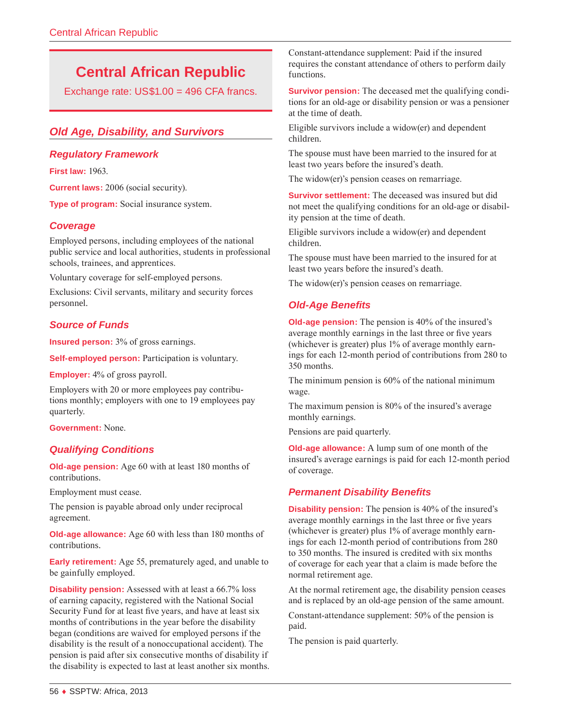# **Central African Republic**

Exchange rate: US\$1.00 = 496 CFA francs.

# *Old Age, Disability, and Survivors*

## *Regulatory Framework*

**First law:** 1963.

**Current laws:** 2006 (social security).

**Type of program:** Social insurance system.

## *Coverage*

Employed persons, including employees of the national public service and local authorities, students in professional schools, trainees, and apprentices.

Voluntary coverage for self-employed persons.

Exclusions: Civil servants, military and security forces personnel.

## *Source of Funds*

**Insured person:** 3% of gross earnings.

**Self-employed person:** Participation is voluntary.

**Employer:** 4% of gross payroll.

Employers with 20 or more employees pay contributions monthly; employers with one to 19 employees pay quarterly.

**Government:** None.

#### *Qualifying Conditions*

**Old-age pension:** Age 60 with at least 180 months of contributions.

Employment must cease.

The pension is payable abroad only under reciprocal agreement.

**Old-age allowance:** Age 60 with less than 180 months of contributions.

**Early retirement:** Age 55, prematurely aged, and unable to be gainfully employed.

**Disability pension:** Assessed with at least a 66.7% loss of earning capacity, registered with the National Social Security Fund for at least five years, and have at least six months of contributions in the year before the disability began (conditions are waived for employed persons if the disability is the result of a nonoccupational accident). The pension is paid after six consecutive months of disability if the disability is expected to last at least another six months. Constant-attendance supplement: Paid if the insured requires the constant attendance of others to perform daily functions.

**Survivor pension:** The deceased met the qualifying conditions for an old-age or disability pension or was a pensioner at the time of death.

Eligible survivors include a widow(er) and dependent children.

The spouse must have been married to the insured for at least two years before the insured's death.

The widow(er)'s pension ceases on remarriage.

**Survivor settlement:** The deceased was insured but did not meet the qualifying conditions for an old-age or disability pension at the time of death.

Eligible survivors include a widow(er) and dependent children.

The spouse must have been married to the insured for at least two years before the insured's death.

The widow(er)'s pension ceases on remarriage.

## *Old-Age Benefits*

**Old-age pension:** The pension is 40% of the insured's average monthly earnings in the last three or five years (whichever is greater) plus 1% of average monthly earnings for each 12-month period of contributions from 280 to 350 months.

The minimum pension is 60% of the national minimum wage.

The maximum pension is 80% of the insured's average monthly earnings.

Pensions are paid quarterly.

**Old-age allowance:** A lump sum of one month of the insured's average earnings is paid for each 12-month period of coverage.

#### *Permanent Disability Benefits*

**Disability pension:** The pension is 40% of the insured's average monthly earnings in the last three or five years (whichever is greater) plus 1% of average monthly earnings for each 12-month period of contributions from 280 to 350 months. The insured is credited with six months of coverage for each year that a claim is made before the normal retirement age.

At the normal retirement age, the disability pension ceases and is replaced by an old-age pension of the same amount.

Constant-attendance supplement: 50% of the pension is paid.

The pension is paid quarterly.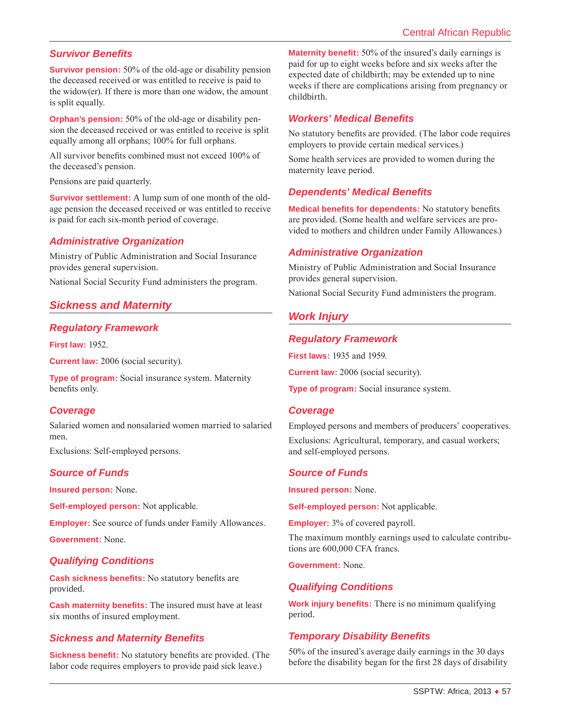## *Survivor Benefits*

**Survivor pension:** 50% of the old-age or disability pension the deceased received or was entitled to receive is paid to the widow(er). If there is more than one widow, the amount is split equally.

**Orphan's pension:** 50% of the old-age or disability pension the deceased received or was entitled to receive is split equally among all orphans; 100% for full orphans.

All survivor benefits combined must not exceed 100% of the deceased's pension.

Pensions are paid quarterly.

**Survivor settlement:** A lump sum of one month of the oldage pension the deceased received or was entitled to receive is paid for each six-month period of coverage.

#### *Administrative Organization*

Ministry of Public Administration and Social Insurance provides general supervision.

National Social Security Fund administers the program.

# *Sickness and Maternity*

#### *Regulatory Framework*

**First law:** 1952.

**Current law:** 2006 (social security).

**Type of program:** Social insurance system. Maternity benefits only.

#### *Coverage*

Salaried women and nonsalaried women married to salaried men.

Exclusions: Self-employed persons.

#### *Source of Funds*

**Insured person:** None.

**Self-employed person:** Not applicable.

**Employer:** See source of funds under Family Allowances.

**Government:** None.

#### *Qualifying Conditions*

**Cash sickness benefits:** No statutory benefits are provided.

**Cash maternity benefits:** The insured must have at least six months of insured employment.

## *Sickness and Maternity Benefits*

**Sickness benefit:** No statutory benefits are provided. (The labor code requires employers to provide paid sick leave.)

**Maternity benefit:** 50% of the insured's daily earnings is paid for up to eight weeks before and six weeks after the expected date of childbirth; may be extended up to nine weeks if there are complications arising from pregnancy or childbirth.

## *Workers' Medical Benefits*

No statutory benefits are provided. (The labor code requires employers to provide certain medical services.)

Some health services are provided to women during the maternity leave period.

## *Dependents' Medical Benefits*

**Medical benefits for dependents:** No statutory benefits are provided. (Some health and welfare services are provided to mothers and children under Family Allowances.)

#### *Administrative Organization*

Ministry of Public Administration and Social Insurance provides general supervision.

National Social Security Fund administers the program.

# *Work Injury*

#### *Regulatory Framework*

**First laws:** 1935 and 1959.

**Current law:** 2006 (social security).

**Type of program:** Social insurance system.

#### *Coverage*

Employed persons and members of producers' cooperatives.

Exclusions: Agricultural, temporary, and casual workers; and self-employed persons.

#### *Source of Funds*

**Insured person:** None.

**Self-employed person:** Not applicable.

**Employer:** 3% of covered payroll.

The maximum monthly earnings used to calculate contributions are 600,000 CFA francs.

**Government:** None.

## *Qualifying Conditions*

**Work injury benefits:** There is no minimum qualifying period.

## *Temporary Disability Benefits*

50% of the insured's average daily earnings in the 30 days before the disability began for the first 28 days of disability